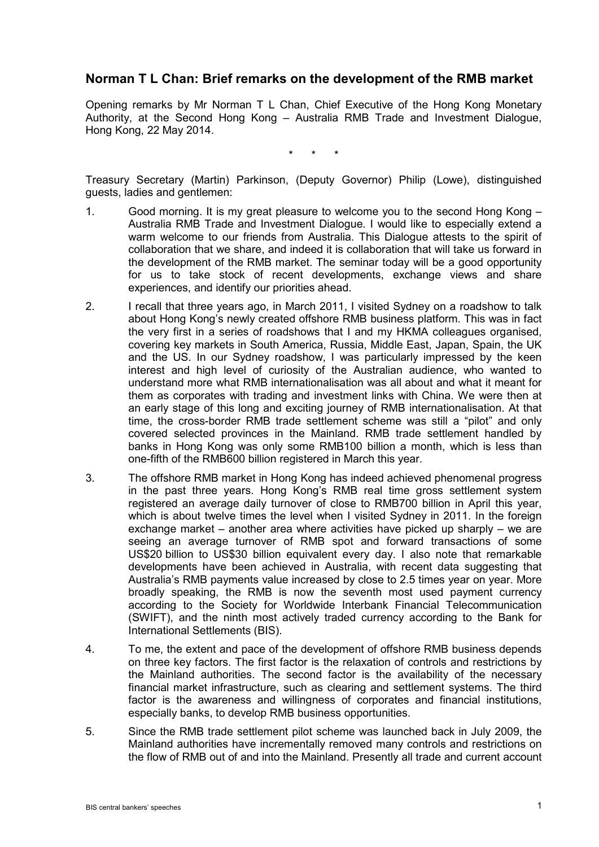## **Norman T L Chan: Brief remarks on the development of the RMB market**

Opening remarks by Mr Norman T L Chan, Chief Executive of the Hong Kong Monetary Authority, at the Second Hong Kong – Australia RMB Trade and Investment Dialogue, Hong Kong, 22 May 2014.

\* \* \*

Treasury Secretary (Martin) Parkinson, (Deputy Governor) Philip (Lowe), distinguished guests, ladies and gentlemen:

- 1. Good morning. It is my great pleasure to welcome you to the second Hong Kong Australia RMB Trade and Investment Dialogue. I would like to especially extend a warm welcome to our friends from Australia. This Dialogue attests to the spirit of collaboration that we share, and indeed it is collaboration that will take us forward in the development of the RMB market. The seminar today will be a good opportunity for us to take stock of recent developments, exchange views and share experiences, and identify our priorities ahead.
- 2. I recall that three years ago, in March 2011, I visited Sydney on a roadshow to talk about Hong Kong's newly created offshore RMB business platform. This was in fact the very first in a series of roadshows that I and my HKMA colleagues organised, covering key markets in South America, Russia, Middle East, Japan, Spain, the UK and the US. In our Sydney roadshow, I was particularly impressed by the keen interest and high level of curiosity of the Australian audience, who wanted to understand more what RMB internationalisation was all about and what it meant for them as corporates with trading and investment links with China. We were then at an early stage of this long and exciting journey of RMB internationalisation. At that time, the cross-border RMB trade settlement scheme was still a "pilot" and only covered selected provinces in the Mainland. RMB trade settlement handled by banks in Hong Kong was only some RMB100 billion a month, which is less than one-fifth of the RMB600 billion registered in March this year.
- 3. The offshore RMB market in Hong Kong has indeed achieved phenomenal progress in the past three years. Hong Kong's RMB real time gross settlement system registered an average daily turnover of close to RMB700 billion in April this year, which is about twelve times the level when I visited Sydney in 2011. In the foreign exchange market – another area where activities have picked up sharply – we are seeing an average turnover of RMB spot and forward transactions of some US\$20 billion to US\$30 billion equivalent every day. I also note that remarkable developments have been achieved in Australia, with recent data suggesting that Australia's RMB payments value increased by close to 2.5 times year on year. More broadly speaking, the RMB is now the seventh most used payment currency according to the Society for Worldwide Interbank Financial Telecommunication (SWIFT), and the ninth most actively traded currency according to the Bank for International Settlements (BIS).
- 4. To me, the extent and pace of the development of offshore RMB business depends on three key factors. The first factor is the relaxation of controls and restrictions by the Mainland authorities. The second factor is the availability of the necessary financial market infrastructure, such as clearing and settlement systems. The third factor is the awareness and willingness of corporates and financial institutions, especially banks, to develop RMB business opportunities.
- 5. Since the RMB trade settlement pilot scheme was launched back in July 2009, the Mainland authorities have incrementally removed many controls and restrictions on the flow of RMB out of and into the Mainland. Presently all trade and current account